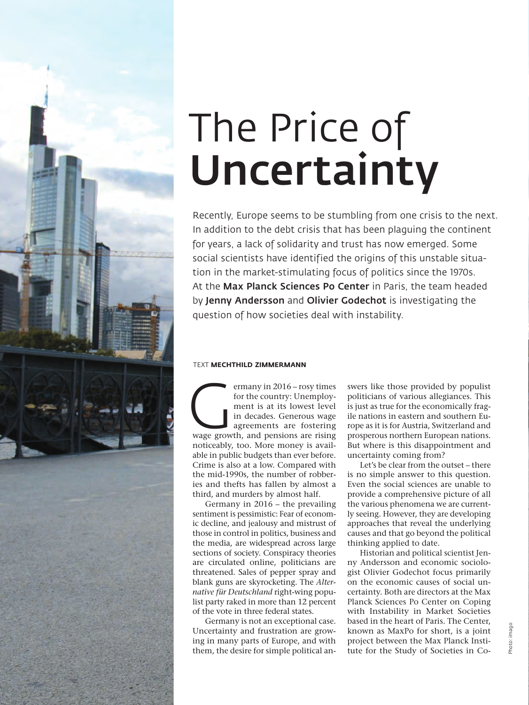

# The Price of Uncertainty

Recently, Europe seems to be stumbling from one crisis to the next. In addition to the debt crisis that has been plaguing the continent for years, a lack of solidarity and trust has now emerged. Some social scientists have identified the origins of this unstable situation in the market-stimulating focus of politics since the 1970s. At the **Max Planck Sciences Po Center** in Paris, the team headed by Jenny Andersson and Olivier Godechot is investigating the question of how societies deal with instability.

## TEXT **MECHTHILD ZIMMERMANN**

ermany in 2016 – rosy times<br>
for the country: Unemploy-<br>
ment is at its lowest level<br>
in decades. Generous wage<br>
agreements are fostering<br>
wage growth, and pensions are rising for the country: Unemployment is at its lowest level in decades. Generous wage agreements are fostering noticeably, too. More money is available in public budgets than ever before. Crime is also at a low. Compared with the mid-1990s, the number of robberies and thefts has fallen by almost a third, and murders by almost half.

Germany in 2016 – the prevailing sentiment is pessimistic: Fear of economic decline, and jealousy and mistrust of those in control in politics, business and the media, are widespread across large sections of society. Conspiracy theories are circulated online, politicians are threatened. Sales of pepper spray and blank guns are skyrocketing. The *Alternative für Deutschland* right-wing populist party raked in more than 12 percent of the vote in three federal states.

Germany is not an exceptional case. Uncertainty and frustration are growing in many parts of Europe, and with them, the desire for simple political answers like those provided by populist politicians of various allegiances. This is just as true for the economically fragile nations in eastern and southern Europe as it is for Austria, Switzerland and prosperous northern European nations. But where is this disappointment and uncertainty coming from?

Let's be clear from the outset – there is no simple answer to this question. Even the social sciences are unable to provide a comprehensive picture of all the various phenomena we are currently seeing. However, they are developing approaches that reveal the underlying causes and that go beyond the political thinking applied to date.

Historian and political scientist Jenny Andersson and economic sociologist Olivier Godechot focus primarily on the economic causes of social uncertainty. Both are directors at the Max Planck Sciences Po Center on Coping with Instability in Market Societies based in the heart of Paris. The Center, known as MaxPo for short, is a joint project between the Max Planck Institute for the Study of Societies in Co-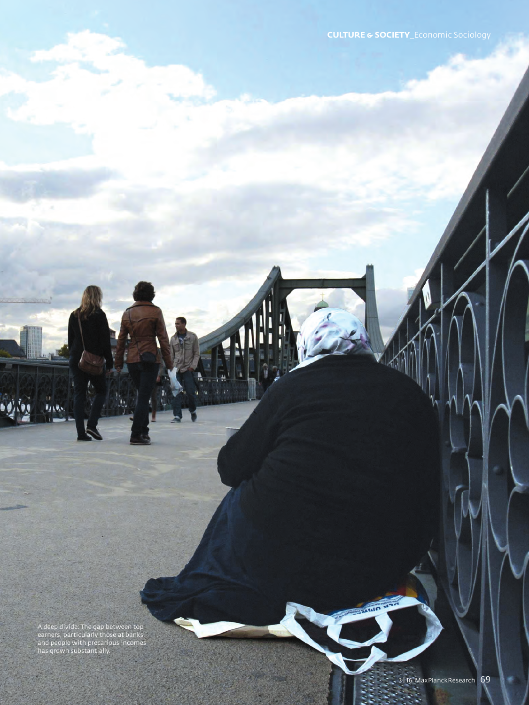A deep divide: The gap between top earners, particularly those at banks, and people with precarious incomes has grown substantially.

**FAXWA** 

**ATTOLOGY**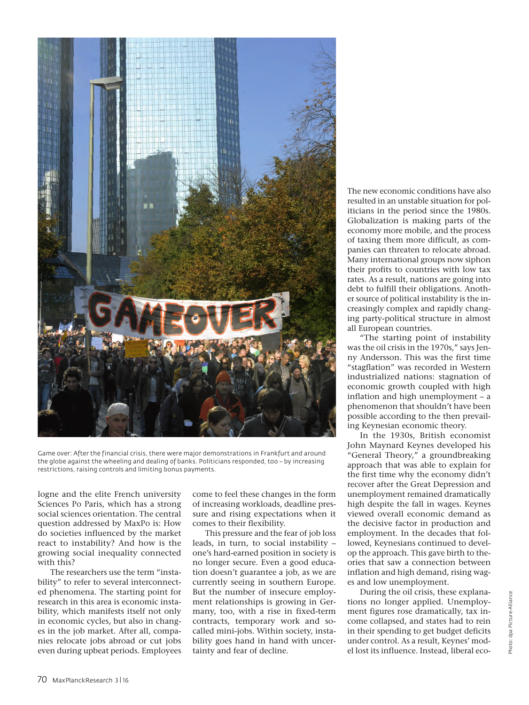

Game over: After the financial crisis, there were major demonstrations in Frankfurt and around the globe against the wheeling and dealing of banks. Politicians responded, too – by increasing restrictions, raising controls and limiting bonus payments.

logne and the elite French university Sciences Po Paris, which has a strong social sciences orientation. The central question addressed by MaxPo is: How do societies influenced by the market react to instability? And how is the growing social inequality connected with this?

The researchers use the term "instability" to refer to several interconnected phenomena. The starting point for research in this area is economic instability, which manifests itself not only in economic cycles, but also in changes in the job market. After all, companies relocate jobs abroad or cut jobs even during upbeat periods. Employees come to feel these changes in the form of increasing workloads, deadline pressure and rising expectations when it comes to their flexibility.

This pressure and the fear of job loss leads, in turn, to social instability – one's hard-earned position in society is no longer secure. Even a good education doesn't guarantee a job, as we are currently seeing in southern Europe. But the number of insecure employment relationships is growing in Germany, too, with a rise in fixed-term contracts, temporary work and socalled mini-jobs. Within society, instability goes hand in hand with uncertainty and fear of decline.

The new economic conditions have also resulted in an unstable situation for politicians in the period since the 1980s. Globalization is making parts of the economy more mobile, and the process of taxing them more difficult, as companies can threaten to relocate abroad. Many international groups now siphon their profits to countries with low tax rates. As a result, nations are going into debt to fulfill their obligations. Another source of political instability is the increasingly complex and rapidly changing party-political structure in almost all European countries.

"The starting point of instability was the oil crisis in the 1970s," says Jenny Andersson. This was the first time "stagflation" was recorded in Western industrialized nations: stagnation of economic growth coupled with high inflation and high unemployment – a phenomenon that shouldn't have been possible according to the then prevailing Keynesian economic theory.

In the 1930s, British economist John Maynard Keynes developed his "General Theory," a groundbreaking approach that was able to explain for the first time why the economy didn't recover after the Great Depression and unemployment remained dramatically high despite the fall in wages. Keynes viewed overall economic demand as the decisive factor in production and employment. In the decades that followed, Keynesians continued to develop the approach. This gave birth to theories that saw a connection between inflation and high demand, rising wages and low unemployment.

During the oil crisis, these explanations no longer applied. Unemployment figures rose dramatically, tax income collapsed, and states had to rein in their spending to get budget deficits under control. As a result, Keynes' model lost its influence. Instead, liberal eco-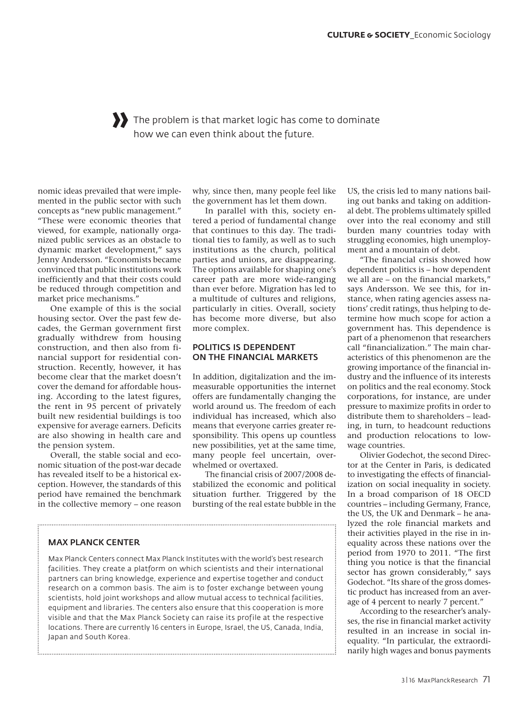# » The problem is that market logic has come to dominate how we can even think about the future.

nomic ideas prevailed that were implemented in the public sector with such concepts as "new public management." "These were economic theories that viewed, for example, nationally organized public services as an obstacle to dynamic market development," says Jenny Andersson. "Economists became convinced that public institutions work inefficiently and that their costs could be reduced through competition and market price mechanisms."

One example of this is the social housing sector. Over the past few decades, the German government first gradually withdrew from housing construction, and then also from financial support for residential construction. Recently, however, it has become clear that the market doesn't cover the demand for affordable housing. According to the latest figures, the rent in 95 percent of privately built new residential buildings is too expensive for average earners. Deficits are also showing in health care and the pension system.

Overall, the stable social and economic situation of the post-war decade has revealed itself to be a historical exception. However, the standards of this period have remained the benchmark in the collective memory – one reason

why, since then, many people feel like the government has let them down.

In parallel with this, society entered a period of fundamental change that continues to this day. The traditional ties to family, as well as to such institutions as the church, political parties and unions, are disappearing. The options available for shaping one's career path are more wide-ranging than ever before. Migration has led to a multitude of cultures and religions, particularly in cities. Overall, society has become more diverse, but also more complex.

# POLITICS IS DEPENDENT ON THE FINANCIAL MARKETS

In addition, digitalization and the immeasurable opportunities the internet offers are fundamentally changing the world around us. The freedom of each individual has increased, which also means that everyone carries greater responsibility. This opens up countless new possibilities, yet at the same time, many people feel uncertain, overwhelmed or overtaxed.

The financial crisis of 2007/2008 destabilized the economic and political situation further. Triggered by the bursting of the real estate bubble in the

# MAX PLANCK CENTER

Max Planck Centers connect Max Planck Institutes with the world's best research facilities. They create a platform on which scientists and their international partners can bring knowledge, experience and expertise together and conduct research on a common basis. The aim is to foster exchange between young scientists, hold joint workshops and allow mutual access to technical facilities, equipment and libraries. The centers also ensure that this cooperation is more visible and that the Max Planck Society can raise its profile at the respective locations. There are currently 16 centers in Europe, Israel, the US, Canada, India, Japan and South Korea.

US, the crisis led to many nations bailing out banks and taking on additional debt. The problems ultimately spilled over into the real economy and still burden many countries today with struggling economies, high unemployment and a mountain of debt.

"The financial crisis showed how dependent politics is – how dependent we all are – on the financial markets," says Andersson. We see this, for instance, when rating agencies assess nations' credit ratings, thus helping to determine how much scope for action a government has. This dependence is part of a phenomenon that researchers call "financialization." The main characteristics of this phenomenon are the growing importance of the financial industry and the influence of its interests on politics and the real economy. Stock corporations, for instance, are under pressure to maximize profits in order to distribute them to shareholders – leading, in turn, to headcount reductions and production relocations to lowwage countries.

Olivier Godechot, the second Director at the Center in Paris, is dedicated to investigating the effects of financialization on social inequality in society. In a broad comparison of 18 OECD countries – including Germany, France, the US, the UK and Denmark – he analyzed the role financial markets and their activities played in the rise in inequality across these nations over the period from 1970 to 2011. "The first thing you notice is that the financial sector has grown considerably," says Godechot. "Its share of the gross domestic product has increased from an average of 4 percent to nearly 7 percent."

According to the researcher's analyses, the rise in financial market activity resulted in an increase in social inequality. "In particular, the extraordinarily high wages and bonus payments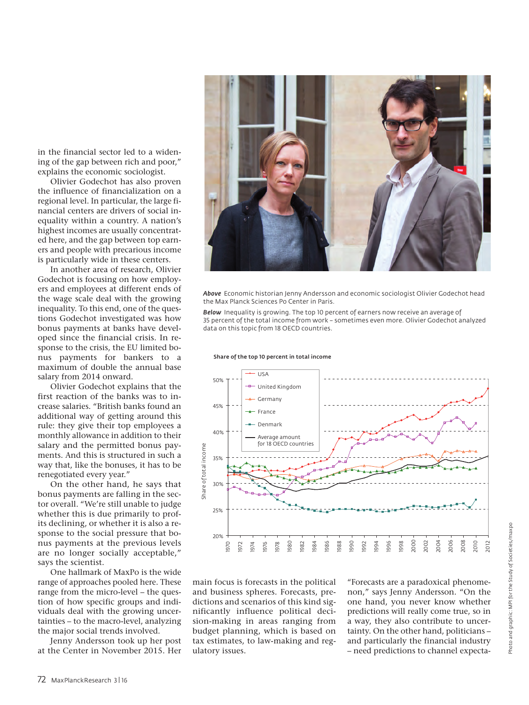in the financial sector led to a widening of the gap between rich and poor," explains the economic sociologist.

Olivier Godechot has also proven the influence of financialization on a regional level. In particular, the large financial centers are drivers of social inequality within a country. A nation's highest incomes are usually concentrated here, and the gap between top earners and people with precarious income is particularly wide in these centers.

In another area of research, Olivier Godechot is focusing on how employers and employees at different ends of the wage scale deal with the growing inequality. To this end, one of the questions Godechot investigated was how bonus payments at banks have developed since the financial crisis. In response to the crisis, the EU limited bonus payments for bankers to a maximum of double the annual base salary from 2014 onward.

Olivier Godechot explains that the first reaction of the banks was to increase salaries. "British banks found an additional way of getting around this rule: they give their top employees a monthly allowance in addition to their salary and the permitted bonus payments. And this is structured in such a way that, like the bonuses, it has to be renegotiated every year."

On the other hand, he says that bonus payments are falling in the sector overall. "We're still unable to judge whether this is due primarily to profits declining, or whether it is also a response to the social pressure that bonus payments at the previous levels are no longer socially acceptable," says the scientist.

One hallmark of MaxPo is the wide range of approaches pooled here. These range from the micro-level – the question of how specific groups and individuals deal with the growing uncertainties – to the macro-level, analyzing the major social trends involved.

Jenny Andersson took up her post at the Center in November 2015. Her



*Above* Economic historian Jenny Andersson and economic sociologist Olivier Godechot head the Max Planck Sciences Po Center in Paris.

*Below* Inequality is growing. The top 10 percent of earners now receive an average of 35 percent of the total income from work – sometimes even more. Olivier Godechot analyzed data on this topic from 18 OECD countries.



Share of the top 10 percent in total income

main focus is forecasts in the political and business spheres. Forecasts, predictions and scenarios of this kind significantly influence political decision-making in areas ranging from budget planning, which is based on tax estimates, to law-making and regulatory issues.

"Forecasts are a paradoxical phenomenon," says Jenny Andersson. "On the one hand, you never know whether predictions will really come true, so in a way, they also contribute to uncertainty. On the other hand, politicians – and particularly the financial industry – need predictions to channel expecta-